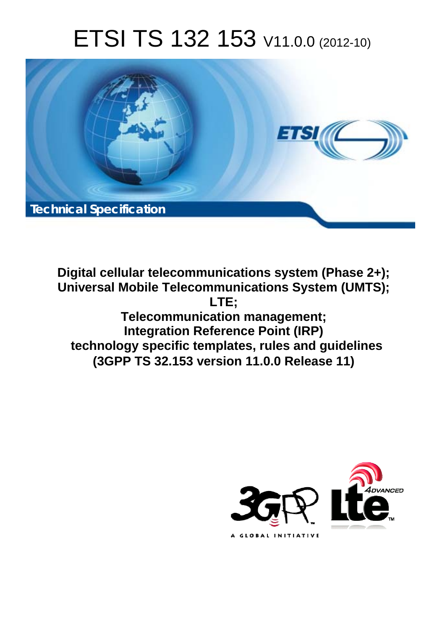# ETSI TS 132 153 V11.0.0 (2012-10)



**Digital cellular telecommunications system (Phase 2+); Universal Mobile Telecommunications System (UMTS); LTE; Telecommunication management; Integration Reference Point (IRP) technology specific templates, rules and guidelines (3GPP TS 32.153 version 11.0.0 Release 11)** 

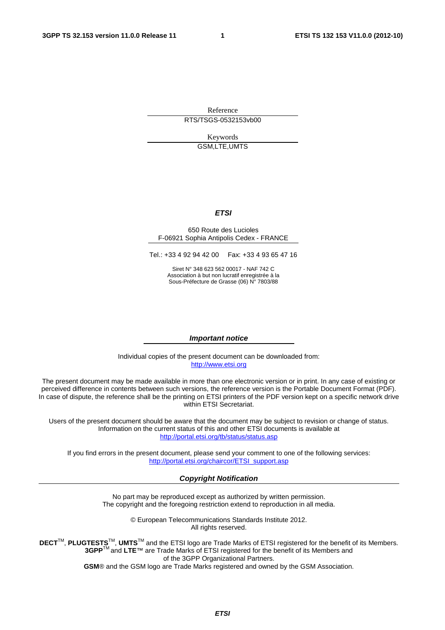Reference RTS/TSGS-0532153vb00

> Keywords GSM,LTE,UMTS

#### *ETSI*

#### 650 Route des Lucioles F-06921 Sophia Antipolis Cedex - FRANCE

Tel.: +33 4 92 94 42 00 Fax: +33 4 93 65 47 16

Siret N° 348 623 562 00017 - NAF 742 C Association à but non lucratif enregistrée à la Sous-Préfecture de Grasse (06) N° 7803/88

#### *Important notice*

Individual copies of the present document can be downloaded from: [http://www.etsi.org](http://www.etsi.org/)

The present document may be made available in more than one electronic version or in print. In any case of existing or perceived difference in contents between such versions, the reference version is the Portable Document Format (PDF). In case of dispute, the reference shall be the printing on ETSI printers of the PDF version kept on a specific network drive within ETSI Secretariat.

Users of the present document should be aware that the document may be subject to revision or change of status. Information on the current status of this and other ETSI documents is available at <http://portal.etsi.org/tb/status/status.asp>

If you find errors in the present document, please send your comment to one of the following services: [http://portal.etsi.org/chaircor/ETSI\\_support.asp](http://portal.etsi.org/chaircor/ETSI_support.asp)

#### *Copyright Notification*

No part may be reproduced except as authorized by written permission. The copyright and the foregoing restriction extend to reproduction in all media.

> © European Telecommunications Standards Institute 2012. All rights reserved.

DECT<sup>™</sup>, PLUGTESTS<sup>™</sup>, UMTS<sup>™</sup> and the ETSI logo are Trade Marks of ETSI registered for the benefit of its Members. **3GPP**TM and **LTE**™ are Trade Marks of ETSI registered for the benefit of its Members and of the 3GPP Organizational Partners.

**GSM**® and the GSM logo are Trade Marks registered and owned by the GSM Association.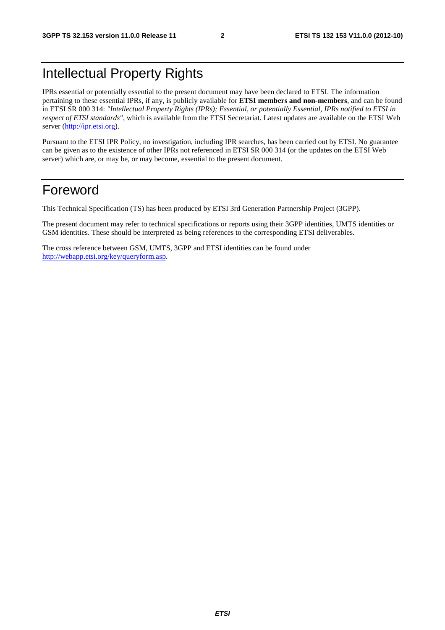# Intellectual Property Rights

IPRs essential or potentially essential to the present document may have been declared to ETSI. The information pertaining to these essential IPRs, if any, is publicly available for **ETSI members and non-members**, and can be found in ETSI SR 000 314: *"Intellectual Property Rights (IPRs); Essential, or potentially Essential, IPRs notified to ETSI in respect of ETSI standards"*, which is available from the ETSI Secretariat. Latest updates are available on the ETSI Web server ([http://ipr.etsi.org\)](http://webapp.etsi.org/IPR/home.asp).

Pursuant to the ETSI IPR Policy, no investigation, including IPR searches, has been carried out by ETSI. No guarantee can be given as to the existence of other IPRs not referenced in ETSI SR 000 314 (or the updates on the ETSI Web server) which are, or may be, or may become, essential to the present document.

# Foreword

This Technical Specification (TS) has been produced by ETSI 3rd Generation Partnership Project (3GPP).

The present document may refer to technical specifications or reports using their 3GPP identities, UMTS identities or GSM identities. These should be interpreted as being references to the corresponding ETSI deliverables.

The cross reference between GSM, UMTS, 3GPP and ETSI identities can be found under [http://webapp.etsi.org/key/queryform.asp.](http://webapp.etsi.org/key/queryform.asp)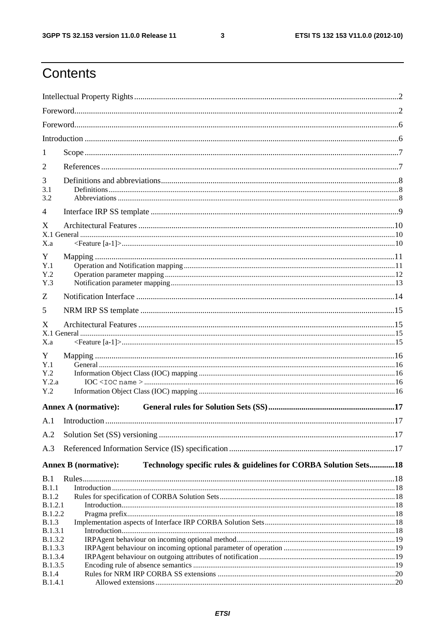$\mathbf{3}$ 

# Contents

| 1                         |                                                                                                 |  |
|---------------------------|-------------------------------------------------------------------------------------------------|--|
| 2                         |                                                                                                 |  |
| 3                         |                                                                                                 |  |
| 3.1                       |                                                                                                 |  |
| 3.2                       |                                                                                                 |  |
| 4                         |                                                                                                 |  |
| X                         |                                                                                                 |  |
| X.a                       |                                                                                                 |  |
| Y                         |                                                                                                 |  |
| Y.1                       |                                                                                                 |  |
| Y.2<br>Y.3                |                                                                                                 |  |
| Z                         |                                                                                                 |  |
| 5                         |                                                                                                 |  |
|                           |                                                                                                 |  |
| X                         |                                                                                                 |  |
| X.a                       |                                                                                                 |  |
| Y                         |                                                                                                 |  |
| Y.1                       |                                                                                                 |  |
| Y.2                       |                                                                                                 |  |
| Y.2.a<br>Y.2              |                                                                                                 |  |
|                           |                                                                                                 |  |
|                           | <b>Annex A (normative):</b>                                                                     |  |
| A.1                       |                                                                                                 |  |
| A.2                       |                                                                                                 |  |
| A.3                       |                                                                                                 |  |
|                           | Technology specific rules & guidelines for CORBA Solution Sets18<br><b>Annex B</b> (normative): |  |
| B.1                       |                                                                                                 |  |
| B.1.1                     |                                                                                                 |  |
| B.1.2                     |                                                                                                 |  |
| B.1.2.1<br><b>B.1.2.2</b> |                                                                                                 |  |
| <b>B.1.3</b>              |                                                                                                 |  |
| B.1.3.1                   |                                                                                                 |  |
| <b>B.1.3.2</b>            |                                                                                                 |  |
| <b>B.1.3.3</b>            |                                                                                                 |  |
| B.1.3.4<br>B.1.3.5        |                                                                                                 |  |
| <b>B.1.4</b>              |                                                                                                 |  |
| <b>B.1.4.1</b>            |                                                                                                 |  |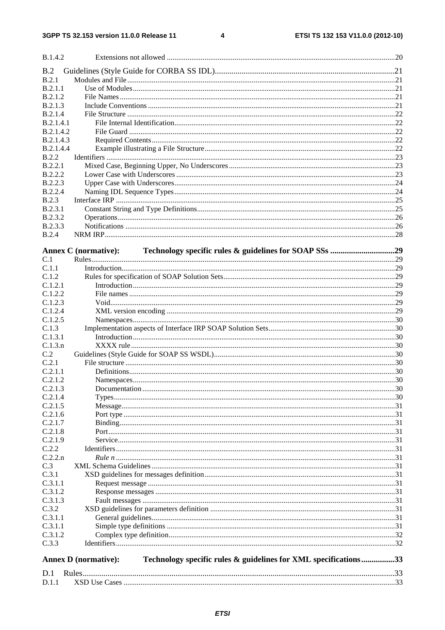$\overline{\mathbf{4}}$ 

| B.1.4.2                        |                                                                                                |  |
|--------------------------------|------------------------------------------------------------------------------------------------|--|
| B.2                            |                                                                                                |  |
| B.2.1                          |                                                                                                |  |
| B.2.1.1                        |                                                                                                |  |
| B.2.1.2                        |                                                                                                |  |
| B.2.1.3                        |                                                                                                |  |
| <b>B.2.1.4</b>                 |                                                                                                |  |
| <b>B.2.1.4.1</b>               |                                                                                                |  |
| B.2.1.4.2                      |                                                                                                |  |
| B.2.1.4.3                      |                                                                                                |  |
| B.2.1.4.4                      |                                                                                                |  |
| <b>B.2.2</b>                   |                                                                                                |  |
| B.2.2.1                        |                                                                                                |  |
| <b>B.2.2.2</b>                 |                                                                                                |  |
| <b>B.2.2.3</b>                 |                                                                                                |  |
| <b>B.2.2.4</b><br><b>B.2.3</b> |                                                                                                |  |
| B.2.3.1                        |                                                                                                |  |
| <b>B.2.3.2</b>                 |                                                                                                |  |
| B.2.3.3                        |                                                                                                |  |
| <b>B.2.4</b>                   |                                                                                                |  |
|                                |                                                                                                |  |
|                                | <b>Annex C</b> (normative):                                                                    |  |
| C.1                            |                                                                                                |  |
| C.1.1                          |                                                                                                |  |
| C.1.2                          |                                                                                                |  |
| C.1.2.1                        |                                                                                                |  |
| C.1.2.2                        |                                                                                                |  |
| C.1.2.3                        |                                                                                                |  |
| C.1.2.4                        |                                                                                                |  |
| C.1.2.5                        |                                                                                                |  |
| C.1.3                          |                                                                                                |  |
| C.1.3.1<br>C.1.3.n             |                                                                                                |  |
| C.2                            |                                                                                                |  |
| C.2.1                          |                                                                                                |  |
| C.2.1.1                        |                                                                                                |  |
| C.2.1.2                        |                                                                                                |  |
| C.2.1.3                        |                                                                                                |  |
| C.2.1.4                        |                                                                                                |  |
| C.2.1.5                        |                                                                                                |  |
| C.2.1.6                        |                                                                                                |  |
| C.2.1.7                        |                                                                                                |  |
| C.2.1.8                        |                                                                                                |  |
| C.2.1.9                        |                                                                                                |  |
| C.2.2                          |                                                                                                |  |
| C.2.2.n                        |                                                                                                |  |
| C.3                            |                                                                                                |  |
| C.3.1                          |                                                                                                |  |
| C.3.1.1                        |                                                                                                |  |
| C.3.1.2                        |                                                                                                |  |
| C.3.1.3<br>C.3.2               |                                                                                                |  |
| C.3.1.1                        |                                                                                                |  |
| C.3.1.1                        |                                                                                                |  |
| C.3.1.2                        |                                                                                                |  |
| C.3.3                          |                                                                                                |  |
|                                |                                                                                                |  |
|                                | Technology specific rules & guidelines for XML specifications33<br><b>Annex D</b> (normative): |  |
| D.1                            |                                                                                                |  |
| D.1.1                          |                                                                                                |  |
|                                |                                                                                                |  |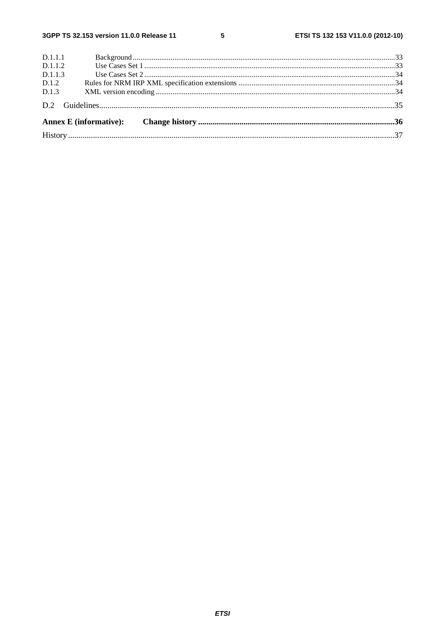| D.1.1.1 |  |
|---------|--|
| D.1.1.2 |  |
| D.1.1.3 |  |
| D.1.2   |  |
| D.1.3   |  |
|         |  |
|         |  |
|         |  |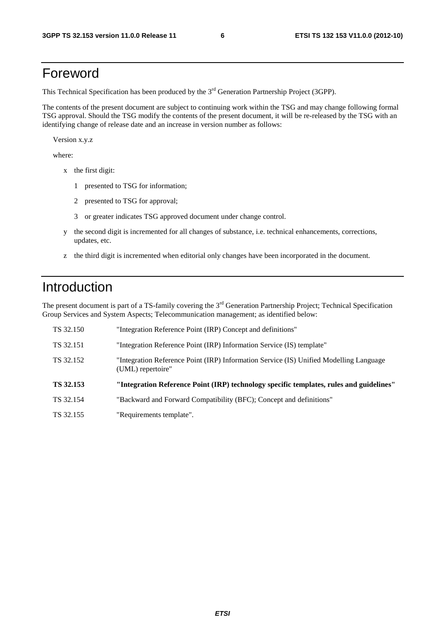# Foreword

This Technical Specification has been produced by the 3<sup>rd</sup> Generation Partnership Project (3GPP).

The contents of the present document are subject to continuing work within the TSG and may change following formal TSG approval. Should the TSG modify the contents of the present document, it will be re-released by the TSG with an identifying change of release date and an increase in version number as follows:

Version x.y.z

where:

- x the first digit:
	- 1 presented to TSG for information;
	- 2 presented to TSG for approval;
	- 3 or greater indicates TSG approved document under change control.
- y the second digit is incremented for all changes of substance, i.e. technical enhancements, corrections, updates, etc.
- z the third digit is incremented when editorial only changes have been incorporated in the document.

# Introduction

The present document is part of a TS-family covering the 3<sup>rd</sup> Generation Partnership Project; Technical Specification Group Services and System Aspects; Telecommunication management; as identified below:

| TS 32.150 | "Integration Reference Point (IRP) Concept and definitions"                                                 |
|-----------|-------------------------------------------------------------------------------------------------------------|
| TS 32.151 | "Integration Reference Point (IRP) Information Service (IS) template"                                       |
| TS 32.152 | "Integration Reference Point (IRP) Information Service (IS) Unified Modelling Language<br>(UML) repertoire" |
|           |                                                                                                             |
| TS 32.153 | "Integration Reference Point (IRP) technology specific templates, rules and guidelines"                     |
| TS 32.154 | "Backward and Forward Compatibility (BFC); Concept and definitions"                                         |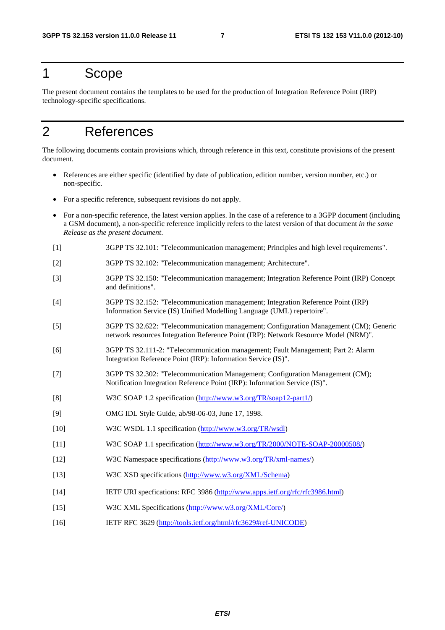# 1 Scope

The present document contains the templates to be used for the production of Integration Reference Point (IRP) technology-specific specifications.

# 2 References

The following documents contain provisions which, through reference in this text, constitute provisions of the present document.

- References are either specific (identified by date of publication, edition number, version number, etc.) or non-specific.
- For a specific reference, subsequent revisions do not apply.
- For a non-specific reference, the latest version applies. In the case of a reference to a 3GPP document (including a GSM document), a non-specific reference implicitly refers to the latest version of that document *in the same Release as the present document*.
- [1] 3GPP TS 32.101: "Telecommunication management; Principles and high level requirements".
- [2] 3GPP TS 32.102: "Telecommunication management; Architecture".
- [3] 3GPP TS 32.150: "Telecommunication management; Integration Reference Point (IRP) Concept and definitions".
- [4] 3GPP TS 32.152: "Telecommunication management; Integration Reference Point (IRP) Information Service (IS) Unified Modelling Language (UML) repertoire".
- [5] 3GPP TS 32.622: "Telecommunication management; Configuration Management (CM); Generic network resources Integration Reference Point (IRP): Network Resource Model (NRM)".
- [6] 3GPP TS 32.111-2: "Telecommunication management; Fault Management; Part 2: Alarm Integration Reference Point (IRP): Information Service (IS)".
- [7] 3GPP TS 32.302: "Telecommunication Management; Configuration Management (CM); Notification Integration Reference Point (IRP): Information Service (IS)".
- [8] W3C SOAP 1.2 specification ([http://www.w3.org/TR/soap12-part1/\)](http://www.w3.org/TR/soap12-part1/)
- [9] OMG IDL Style Guide, ab/98-06-03, June 17, 1998.
- [10] W3C WSDL 1.1 specification ([http://www.w3.org/TR/wsdl\)](http://www.w3.org/TR/wsdl)
- [11] W3C SOAP 1.1 specification ([http://www.w3.org/TR/2000/NOTE-SOAP-20000508/\)](http://www.w3.org/TR/2000/NOTE-SOAP-20000508/)
- [12] W3C Namespace specifications ([http://www.w3.org/TR/xml-names/\)](http://www.w3.org/TR/xml-names/)
- [13] W3C XSD specifications ([http://www.w3.org/XML/Schema\)](http://www.w3.org/XML/Schema)
- [14] IETF URI specfications: RFC 3986 ([http://www.apps.ietf.org/rfc/rfc3986.html\)](http://www.apps.ietf.org/rfc/rfc3986.html)
- [15] W3C XML Specifications ([http://www.w3.org/XML/Core/\)](http://www.w3.org/XML/Core/)
- [16] IETF RFC 3629 ([http://tools.ietf.org/html/rfc3629#ref-UNICODE\)](http://tools.ietf.org/html/rfc3629)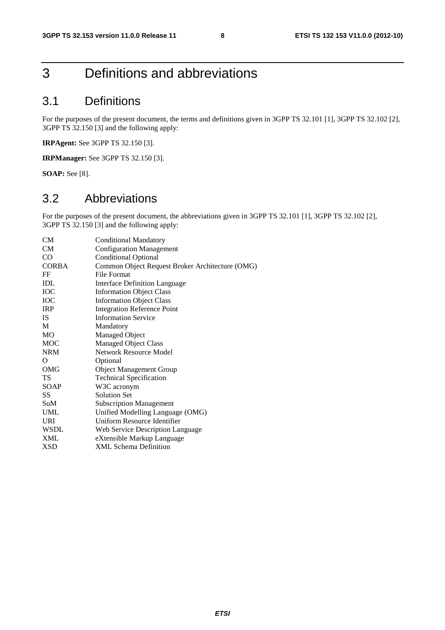# 3 Definitions and abbreviations

# 3.1 Definitions

For the purposes of the present document, the terms and definitions given in 3GPP TS 32.101 [1], 3GPP TS 32.102 [2], 3GPP TS 32.150 [3] and the following apply:

**IRPAgent:** See 3GPP TS 32.150 [3].

**IRPManager:** See 3GPP TS 32.150 [3].

**SOAP:** See [8].

### 3.2 Abbreviations

For the purposes of the present document, the abbreviations given in 3GPP TS 32.101 [1], 3GPP TS 32.102 [2], 3GPP TS 32.150 [3] and the following apply:

| <b>Conditional Mandatory</b>                    |
|-------------------------------------------------|
| <b>Configuration Management</b>                 |
| <b>Conditional Optional</b>                     |
| Common Object Request Broker Architecture (OMG) |
| File Format                                     |
| <b>Interface Definition Language</b>            |
| <b>Information Object Class</b>                 |
| <b>Information Object Class</b>                 |
| <b>Integration Reference Point</b>              |
| <b>Information Service</b>                      |
| Mandatory                                       |
| Managed Object                                  |
| Managed Object Class                            |
| <b>Network Resource Model</b>                   |
| Optional                                        |
| <b>Object Management Group</b>                  |
| <b>Technical Specification</b>                  |
| W3C acronym                                     |
| <b>Solution Set</b>                             |
| <b>Subscription Management</b>                  |
| Unified Modelling Language (OMG)                |
| Uniform Resource Identifier                     |
| Web Service Description Language                |
| eXtensible Markup Language                      |
| <b>XML Schema Definition</b>                    |
|                                                 |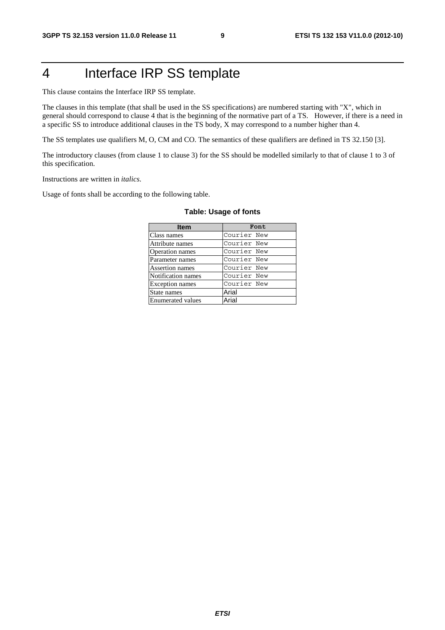# 4 Interface IRP SS template

This clause contains the Interface IRP SS template.

The clauses in this template (that shall be used in the SS specifications) are numbered starting with "X", which in general should correspond to clause 4 that is the beginning of the normative part of a TS. However, if there is a need in a specific SS to introduce additional clauses in the TS body, X may correspond to a number higher than 4.

The SS templates use qualifiers M, O, CM and CO. The semantics of these qualifiers are defined in TS 32.150 [3].

The introductory clauses (from clause 1 to clause 3) for the SS should be modelled similarly to that of clause 1 to 3 of this specification.

Instructions are written in *italics*.

Usage of fonts shall be according to the following table.

| <b>Item</b>              | Font        |
|--------------------------|-------------|
| Class names              | Courier New |
| Attribute names          | Courier New |
| Operation names          | Courier New |
| Parameter names          | Courier New |
| Assertion names          | Courier New |
| Notification names       | Courier New |
| <b>Exception</b> names   | Courier New |
| State names              | Arial       |
| <b>Enumerated values</b> | Arial       |

#### **Table: Usage of fonts**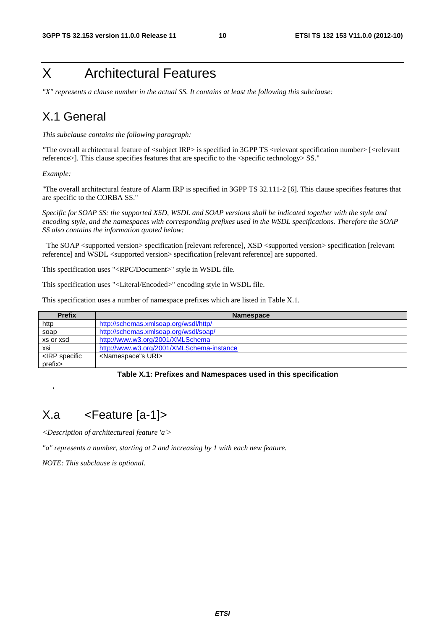# X Architectural Features

*"X" represents a clause number in the actual SS. It contains at least the following this subclause:* 

# X.1 General

*This subclause contains the following paragraph:*

*"*The overall architectural feature of <subject IRP> is specified in 3GPP TS <relevant specification number> [<relevant reference>]. This clause specifies features that are specific to the <specific technology> SS."

*Example:* 

'

"The overall architectural feature of Alarm IRP is specified in 3GPP TS 32.111-2 [6]. This clause specifies features that are specific to the CORBA SS."

*Specific for SOAP SS: the supported XSD, WSDL and SOAP versions shall be indicated together with the style and encoding style, and the namespaces with corresponding prefixes used in the WSDL specifications. Therefore the SOAP SS also contains the information quoted below:* 

 'The SOAP <supported version> specification [relevant reference], XSD <supported version> specification [relevant reference] and WSDL <supported version> specification [relevant reference] are supported.

This specification uses "<RPC/Document>" style in WSDL file.

This specification uses "<Literal/Encoded>" encoding style in WSDL file.

This specification uses a number of namespace prefixes which are listed in Table X.1.

| <b>Prefix</b>                                                             | <b>Namespace</b>                          |
|---------------------------------------------------------------------------|-------------------------------------------|
| http                                                                      | http://schemas.xmlsoap.org/wsdl/http/     |
| soap                                                                      | http://schemas.xmlsoap.org/wsdl/soap/     |
| xs or xsd                                                                 | http://www.w3.org/2001/XMLSchema          |
| xsi                                                                       | http://www.w3.org/2001/XMLSchema-instance |
| <irp specific<="" td=""><td><namespace"s uri=""></namespace"s></td></irp> | <namespace"s uri=""></namespace"s>        |
| prefix>                                                                   |                                           |

#### **Table X.1: Prefixes and Namespaces used in this specification**

# X.a <Feature [a-1]>

*<Description of architectureal feature 'a'>* 

*"a" represents a number, starting at 2 and increasing by 1 with each new feature.* 

*NOTE: This subclause is optional.*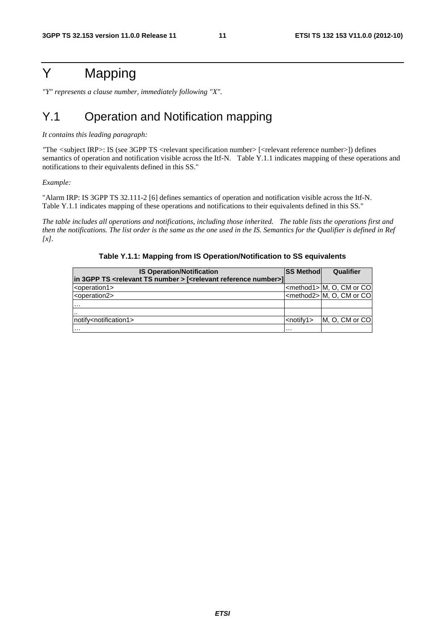# Y Mapping

*"Y" represents a clause number, immediately following "X".* 

# Y.1 Operation and Notification mapping

#### *It contains this leading paragraph:*

*"*The *<*subject IRP>: IS (see 3GPP TS <relevant specification number> [<relevant reference number>]) defines semantics of operation and notification visible across the Itf-N. Table Y.1.1 indicates mapping of these operations and notifications to their equivalents defined in this SS."

*Example:* 

"Alarm IRP: IS 3GPP TS 32.111-2 [6] defines semantics of operation and notification visible across the Itf-N. Table Y.1.1 indicates mapping of these operations and notifications to their equivalents defined in this SS."

*The table includes all operations and notifications, including those inherited. The table lists the operations first and then the notifications. The list order is the same as the one used in the IS. Semantics for the Qualifier is defined in Ref [x].* 

| <b>IS Operation/Notification</b>                                                                | <b>SS Methodl</b> | Qualifier                          |
|-------------------------------------------------------------------------------------------------|-------------------|------------------------------------|
| in 3GPP TS <relevant number="" ts=""> [<relevant number="" reference="">]</relevant></relevant> |                   |                                    |
| <operation1></operation1>                                                                       |                   | <method1> M, O, CM or CO</method1> |
| <operation2></operation2>                                                                       |                   | <method2> M, O, CM or CO</method2> |
| $\cdots$                                                                                        |                   |                                    |
|                                                                                                 |                   |                                    |
| notify <notification1></notification1>                                                          | $\leq$ notify1>   | M, O, CM or CO                     |
| $\cdots$                                                                                        | $\cdots$          |                                    |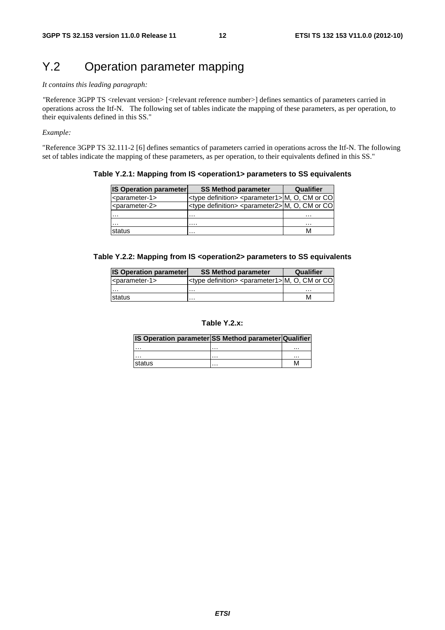# Y.2 Operation parameter mapping

#### *It contains this leading paragraph:*

*"*Reference 3GPP TS <relevant version> [<relevant reference number>] defines semantics of parameters carried in operations across the Itf-N. The following set of tables indicate the mapping of these parameters, as per operation, to their equivalents defined in this SS."

#### *Example:*

"Reference 3GPP TS 32.111-2 [6] defines semantics of parameters carried in operations across the Itf-N. The following set of tables indicate the mapping of these parameters, as per operation, to their equivalents defined in this SS."

#### **Table Y.2.1: Mapping from IS <operation1> parameters to SS equivalents**

| <b>IS Operation parameter</b> | <b>SS Method parameter</b>                                            | Qualifier |
|-------------------------------|-----------------------------------------------------------------------|-----------|
| <parameter-1></parameter-1>   | <type definition=""> <parameter1> M, O, CM or CO</parameter1></type>  |           |
| <parameter-2></parameter-2>   | <type definition=""> <parameter2> M, O, CM or CO </parameter2></type> |           |
| .                             | .                                                                     | .         |
|                               | .                                                                     | $\cdots$  |
| status                        | .                                                                     |           |

#### **Table Y.2.2: Mapping from IS <operation2> parameters to SS equivalents**

| <b>IS Operation parameter</b>   | <b>SS Method parameter</b>                                           | Qualifier |
|---------------------------------|----------------------------------------------------------------------|-----------|
| $ $ <parameter-1></parameter-1> | <type definition=""> <parameter1> M, O, CM or CO</parameter1></type> |           |
| $\cdots$                        | $\cdots$                                                             | .         |
| <b>Istatus</b>                  | .                                                                    | м         |

#### **Table Y.2.x:**

#### **IS Operation parameter SS Method parameter Qualifier**

| $\cdots$ | $\cdots$ | $\cdots$ |
|----------|----------|----------|
|          |          |          |
| .        | $\cdots$ | $\cdots$ |
| status   | $\cdots$ | IVI      |
|          |          |          |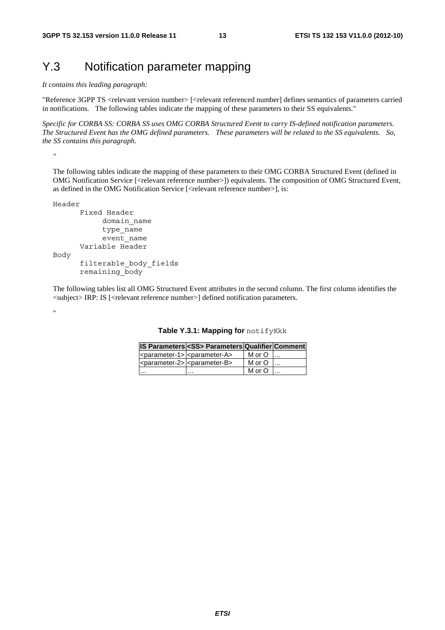# Y.3 Notification parameter mapping

*It contains this leading paragraph:* 

"Reference 3GPP TS <relevant version number> [<relevant referenced number] defines semantics of parameters carried in notifications. The following tables indicate the mapping of these parameters to their SS equivalents."

*Specific for CORBA SS: CORBA SS uses OMG CORBA Structured Event to carry IS-defined notification parameters. The Structured Event has the OMG defined parameters. These parameters will be related to the SS equivalents. So, the SS contains this paragraph.*

*"* 

The following tables indicate the mapping of these parameters to their OMG CORBA Structured Event (defined in OMG Notification Service [<relevant reference number>]) equivalents. The composition of OMG Structured Event, as defined in the OMG Notification Service [<relevant reference number>], is:

```
Header
```

```
 Fixed Header 
              domain_name 
              type_name 
              event_name 
        Variable Header 
Body 
        filterable_body_fields 
        remaining_body
```
The following tables list all OMG Structured Event attributes in the second column. The first column identifies the <subject> IRP: IS [<relevant reference number>] defined notification parameters.

"

|  |  | Table Y.3.1: Mapping for notifyKkk |
|--|--|------------------------------------|
|--|--|------------------------------------|

|                                                                           | IS Parameters <ss> Parameters Qualifier Comment</ss>    |        |  |
|---------------------------------------------------------------------------|---------------------------------------------------------|--------|--|
|                                                                           | <parameter-1> <parameter-a></parameter-a></parameter-1> | M or O |  |
| $ $ <parameter-2><math> </math> <parameter-b></parameter-b></parameter-2> |                                                         | M or O |  |
|                                                                           |                                                         | M or O |  |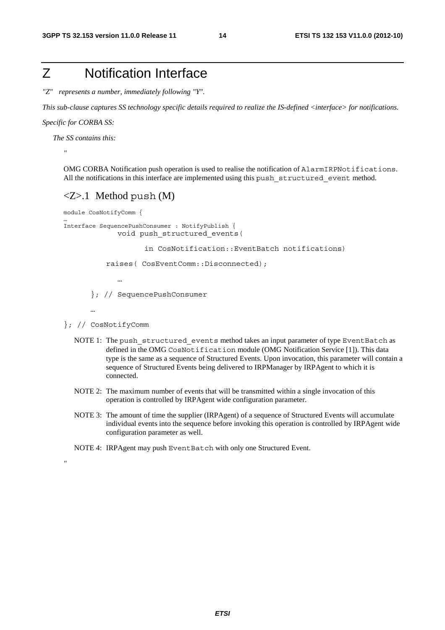# Z Notification Interface

*"Z" represents a number, immediately following "Y".* 

*This sub-clause captures SS technology specific details required to realize the IS-defined <interface> for notifications.*

*Specific for CORBA SS:* 

*"* 

…

*"* 

 *The SS contains this:* 

OMG CORBA Notification push operation is used to realise the notification of AlarmIRPNotifications. All the notifications in this interface are implemented using this push\_structured\_event method.

#### $Z>1$  Method push  $(M)$

```
module CosNotifyComm {
```

```
Interface SequencePushConsumer : NotifyPublish { 
             void push_structured_events(
```
in CosNotification::EventBatch notifications)

raises( CosEventComm::Disconnected);

…

}; // SequencePushConsumer

…

- }; // CosNotifyComm
	- NOTE 1: The push structured events method takes an input parameter of type EventBatch as defined in the OMG CosNotification module (OMG Notification Service [1]). This data type is the same as a sequence of Structured Events. Upon invocation, this parameter will contain a sequence of Structured Events being delivered to IRPManager by IRPAgent to which it is connected.
	- NOTE 2: The maximum number of events that will be transmitted within a single invocation of this operation is controlled by IRPAgent wide configuration parameter.
	- NOTE 3: The amount of time the supplier (IRPAgent) of a sequence of Structured Events will accumulate individual events into the sequence before invoking this operation is controlled by IRPAgent wide configuration parameter as well.
	- NOTE 4: IRPAgent may push EventBatch with only one Structured Event.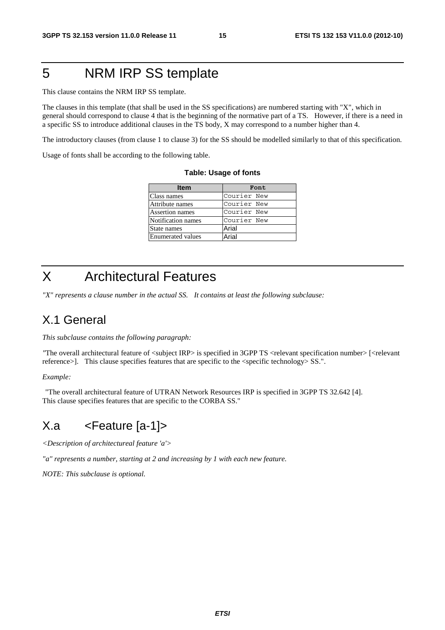# 5 NRM IRP SS template

This clause contains the NRM IRP SS template.

The clauses in this template (that shall be used in the SS specifications) are numbered starting with "X", which in general should correspond to clause 4 that is the beginning of the normative part of a TS. However, if there is a need in a specific SS to introduce additional clauses in the TS body, X may correspond to a number higher than 4.

The introductory clauses (from clause 1 to clause 3) for the SS should be modelled similarly to that of this specification.

Usage of fonts shall be according to the following table.

| <b>Table: Usage of fonts</b> |
|------------------------------|
|------------------------------|

| ltem               | Font        |
|--------------------|-------------|
| Class names        | Courier New |
| Attribute names    | Courier New |
| Assertion names    | Courier New |
| Notification names | Courier New |
| State names        | Arial       |
| Enumerated values  | Arial       |

# X Architectural Features

*"X" represents a clause number in the actual SS. It contains at least the following subclause:* 

### X.1 General

*This subclause contains the following paragraph:*

*"The overall architectural feature of <subject IRP> is specified in 3GPP TS <relevant specification number> [<relevant* reference>]. This clause specifies features that are specific to the <specific technology> SS.".

#### *Example:*

 "The overall architectural feature of UTRAN Network Resources IRP is specified in 3GPP TS 32.642 [4]. This clause specifies features that are specific to the CORBA SS."

# X.a <Feature [a-1]>

*<Description of architectureal feature 'a'>* 

*"a" represents a number, starting at 2 and increasing by 1 with each new feature.* 

*NOTE: This subclause is optional.*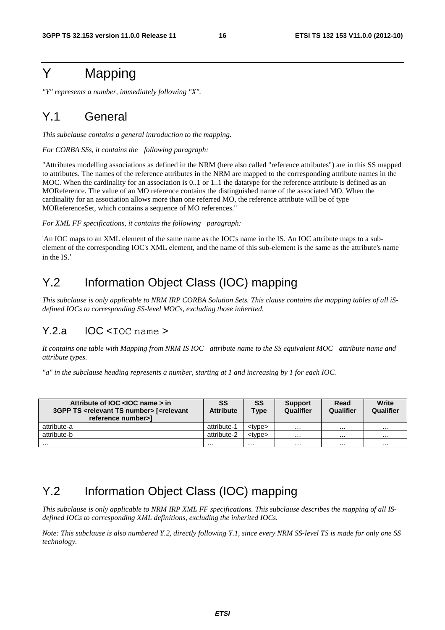# Y Mapping

*"Y" represents a number, immediately following "X".* 

### Y.1 General

*This subclause contains a general introduction to the mapping.* 

*For CORBA SSs, it contains the following paragraph:* 

"Attributes modelling associations as defined in the NRM (here also called "reference attributes") are in this SS mapped to attributes. The names of the reference attributes in the NRM are mapped to the corresponding attribute names in the MOC. When the cardinality for an association is 0..1 or 1..1 the datatype for the reference attribute is defined as an MOReference. The value of an MO reference contains the distinguished name of the associated MO. When the cardinality for an association allows more than one referred MO, the reference attribute will be of type MOReferenceSet, which contains a sequence of MO references."

*For XML FF specifications, it contains the following paragraph:* 

'An IOC maps to an XML element of the same name as the IOC's name in the IS. An IOC attribute maps to a subelement of the corresponding IOC's XML element, and the name of this sub-element is the same as the attribute's name in the IS.'

# Y.2 Information Object Class (IOC) mapping

*This subclause is only applicable to NRM IRP CORBA Solution Sets. This clause contains the mapping tables of all iSdefined IOCs to corresponding SS-level MOCs, excluding those inherited.*

### $Y.2.a$  IOC <IOC name >

*It contains one table with Mapping from NRM IS IOC attribute name to the SS equivalent MOC attribute name and attribute types.* 

*"a" in the subclause heading represents a number, starting at 1 and increasing by 1 for each IOC.* 

| Attribute of IOC <ioc name=""> in<br/>3GPP TS <relevant number="" ts=""> [<relevant<br>reference number&gt;1</relevant<br></relevant></ioc> | SS<br><b>Attribute</b> | SS<br><b>Type</b> | <b>Support</b><br>Qualifier | Read<br>Qualifier | Write<br>Qualifier |
|---------------------------------------------------------------------------------------------------------------------------------------------|------------------------|-------------------|-----------------------------|-------------------|--------------------|
| attribute-a                                                                                                                                 | attribute-1            | <tvpe></tvpe>     | $\cdots$                    |                   |                    |
| attribute-b                                                                                                                                 | attribute-2            | <tvpe></tvpe>     | $\cdots$                    | $\cdots$          |                    |
| .                                                                                                                                           | .                      | .                 | $\cdots$                    | .                 | .                  |

# Y.2 Information Object Class (IOC) mapping

*This subclause is only applicable to NRM IRP XML FF specifications. This subclause describes the mapping of all ISdefined IOCs to corresponding XML definitions, excluding the inherited IOCs.* 

*Note: This subclause is also numbered Y.2, directly following Y.1, since every NRM SS-level TS is made for only one SS technology.*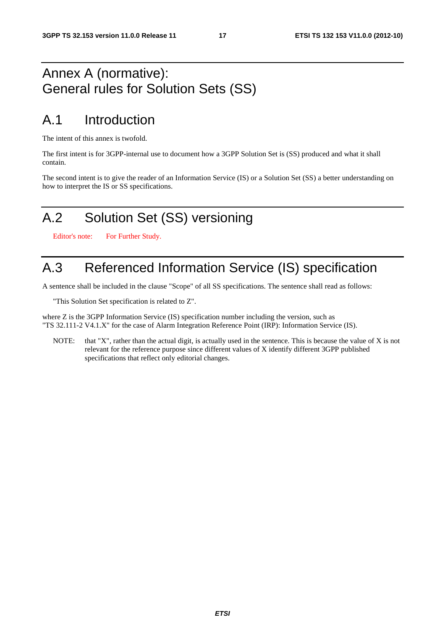# Annex A (normative): General rules for Solution Sets (SS)

# A.1 Introduction

The intent of this annex is twofold.

The first intent is for 3GPP-internal use to document how a 3GPP Solution Set is (SS) produced and what it shall contain.

The second intent is to give the reader of an Information Service (IS) or a Solution Set (SS) a better understanding on how to interpret the IS or SS specifications.

# A.2 Solution Set (SS) versioning

Editor's note: For Further Study.

# A.3 Referenced Information Service (IS) specification

A sentence shall be included in the clause "Scope" of all SS specifications. The sentence shall read as follows:

"This Solution Set specification is related to Z".

where Z is the 3GPP Information Service (IS) specification number including the version, such as "TS 32.111-2 V4.1.X" for the case of Alarm Integration Reference Point (IRP): Information Service (IS).

NOTE: that "X", rather than the actual digit, is actually used in the sentence. This is because the value of X is not relevant for the reference purpose since different values of X identify different 3GPP published specifications that reflect only editorial changes.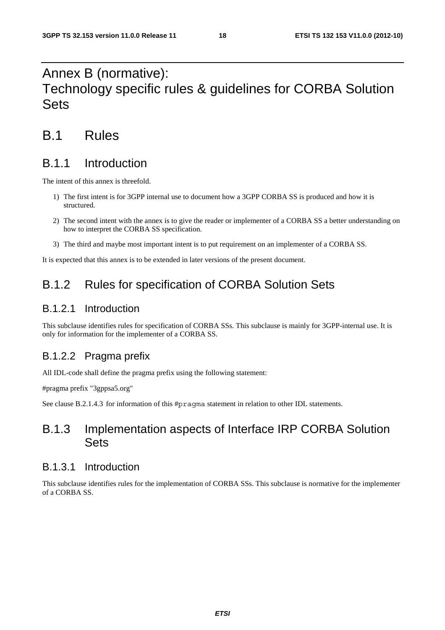# Annex B (normative): Technology specific rules & guidelines for CORBA Solution Sets

# B.1 Rules

### B.1.1 Introduction

The intent of this annex is threefold.

- 1) The first intent is for 3GPP internal use to document how a 3GPP CORBA SS is produced and how it is structured.
- 2) The second intent with the annex is to give the reader or implementer of a CORBA SS a better understanding on how to interpret the CORBA SS specification.
- 3) The third and maybe most important intent is to put requirement on an implementer of a CORBA SS.

It is expected that this annex is to be extended in later versions of the present document.

# B.1.2 Rules for specification of CORBA Solution Sets

### B.1.2.1 Introduction

This subclause identifies rules for specification of CORBA SSs. This subclause is mainly for 3GPP-internal use. It is only for information for the implementer of a CORBA SS.

### B.1.2.2 Pragma prefix

All IDL-code shall define the pragma prefix using the following statement:

#pragma prefix "3gppsa5.org"

See clause B.2.1.4.3 for information of this #pragma statement in relation to other IDL statements.

### B.1.3 Implementation aspects of Interface IRP CORBA Solution **Sets**

#### B.1.3.1 Introduction

This subclause identifies rules for the implementation of CORBA SSs. This subclause is normative for the implementer of a CORBA SS.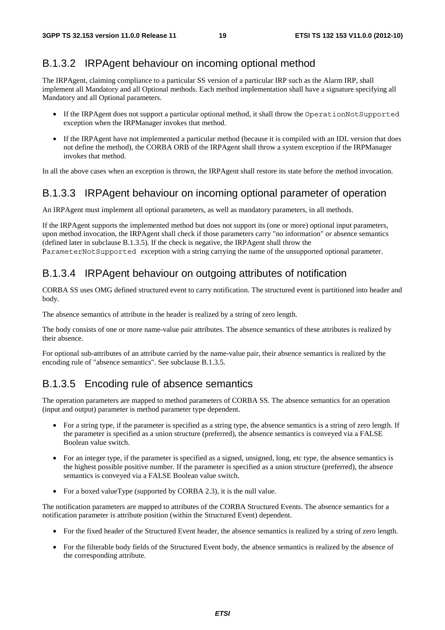### B.1.3.2 IRPAgent behaviour on incoming optional method

The IRPAgent, claiming compliance to a particular SS version of a particular IRP such as the Alarm IRP, shall implement all Mandatory and all Optional methods. Each method implementation shall have a signature specifying all Mandatory and all Optional parameters.

- If the IRPAgent does not support a particular optional method, it shall throw the OperationNotSupported exception when the IRPManager invokes that method.
- If the IRPAgent have not implemented a particular method (because it is compiled with an IDL version that does not define the method), the CORBA ORB of the IRPAgent shall throw a system exception if the IRPManager invokes that method.

In all the above cases when an exception is thrown, the IRPAgent shall restore its state before the method invocation.

### B.1.3.3 IRPAgent behaviour on incoming optional parameter of operation

An IRPAgent must implement all optional parameters, as well as mandatory parameters, in all methods.

If the IRPAgent supports the implemented method but does not support its (one or more) optional input parameters, upon method invocation, the IRPAgent shall check if those parameters carry "no information" or absence semantics (defined later in subclause B.1.3.5). If the check is negative, the IRPAgent shall throw the ParameterNotSupported exception with a string carrying the name of the unsupported optional parameter.

### B.1.3.4 IRPAgent behaviour on outgoing attributes of notification

CORBA SS uses OMG defined structured event to carry notification. The structured event is partitioned into header and body.

The absence semantics of attribute in the header is realized by a string of zero length.

The body consists of one or more name-value pair attributes. The absence semantics of these attributes is realized by their absence.

For optional sub-attributes of an attribute carried by the name-value pair, their absence semantics is realized by the encoding rule of "absence semantics". See subclause B.1.3.5.

### B.1.3.5 Encoding rule of absence semantics

The operation parameters are mapped to method parameters of CORBA SS. The absence semantics for an operation (input and output) parameter is method parameter type dependent.

- For a string type, if the parameter is specified as a string type, the absence semantics is a string of zero length. If the parameter is specified as a union structure (preferred), the absence semantics is conveyed via a FALSE Boolean value switch.
- For an integer type, if the parameter is specified as a signed, unsigned, long, etc type, the absence semantics is the highest possible positive number. If the parameter is specified as a union structure (preferred), the absence semantics is conveyed via a FALSE Boolean value switch.
- For a boxed valueType (supported by CORBA 2.3), it is the null value.

The notification parameters are mapped to attributes of the CORBA Structured Events. The absence semantics for a notification parameter is attribute position (within the Structured Event) dependent.

- For the fixed header of the Structured Event header, the absence semantics is realized by a string of zero length.
- For the filterable body fields of the Structured Event body, the absence semantics is realized by the absence of the corresponding attribute.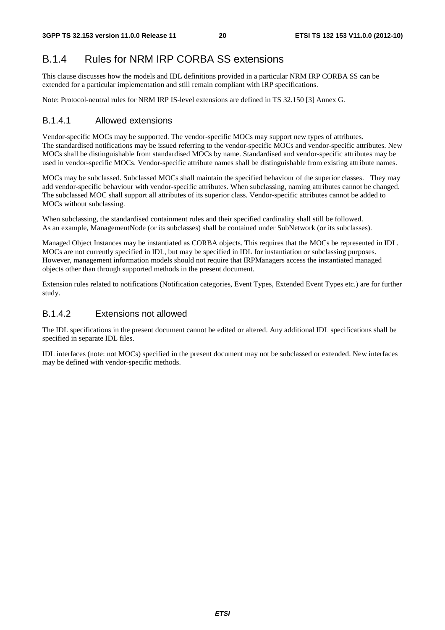### B.1.4 Rules for NRM IRP CORBA SS extensions

This clause discusses how the models and IDL definitions provided in a particular NRM IRP CORBA SS can be extended for a particular implementation and still remain compliant with IRP specifications.

Note: Protocol-neutral rules for NRM IRP IS-level extensions are defined in TS 32.150 [3] Annex G.

#### B.1.4.1 Allowed extensions

Vendor-specific MOCs may be supported. The vendor-specific MOCs may support new types of attributes. The standardised notifications may be issued referring to the vendor-specific MOCs and vendor-specific attributes. New MOCs shall be distinguishable from standardised MOCs by name. Standardised and vendor-specific attributes may be used in vendor-specific MOCs. Vendor-specific attribute names shall be distinguishable from existing attribute names.

MOCs may be subclassed. Subclassed MOCs shall maintain the specified behaviour of the superior classes. They may add vendor-specific behaviour with vendor-specific attributes. When subclassing, naming attributes cannot be changed. The subclassed MOC shall support all attributes of its superior class. Vendor-specific attributes cannot be added to MOCs without subclassing.

When subclassing, the standardised containment rules and their specified cardinality shall still be followed. As an example, ManagementNode (or its subclasses) shall be contained under SubNetwork (or its subclasses).

Managed Object Instances may be instantiated as CORBA objects. This requires that the MOCs be represented in IDL. MOCs are not currently specified in IDL, but may be specified in IDL for instantiation or subclassing purposes. However, management information models should not require that IRPManagers access the instantiated managed objects other than through supported methods in the present document.

Extension rules related to notifications (Notification categories, Event Types, Extended Event Types etc.) are for further study.

#### B.1.4.2 Extensions not allowed

The IDL specifications in the present document cannot be edited or altered. Any additional IDL specifications shall be specified in separate IDL files.

IDL interfaces (note: not MOCs) specified in the present document may not be subclassed or extended. New interfaces may be defined with vendor-specific methods.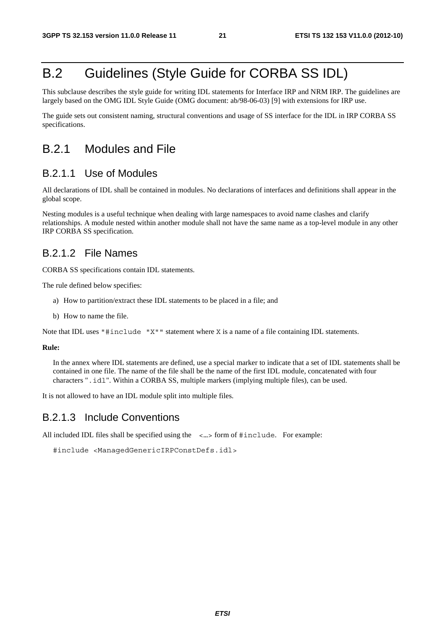# B.2 Guidelines (Style Guide for CORBA SS IDL)

This subclause describes the style guide for writing IDL statements for Interface IRP and NRM IRP. The guidelines are largely based on the OMG IDL Style Guide (OMG document: ab/98-06-03) [9] with extensions for IRP use.

The guide sets out consistent naming, structural conventions and usage of SS interface for the IDL in IRP CORBA SS specifications.

### B.2.1 Modules and File

#### B.2.1.1 Use of Modules

All declarations of IDL shall be contained in modules. No declarations of interfaces and definitions shall appear in the global scope.

Nesting modules is a useful technique when dealing with large namespaces to avoid name clashes and clarify relationships. A module nested within another module shall not have the same name as a top-level module in any other IRP CORBA SS specification.

### B.2.1.2 File Names

CORBA SS specifications contain IDL statements.

The rule defined below specifies:

- a) How to partition/extract these IDL statements to be placed in a file; and
- b) How to name the file.

Note that IDL uses "#include "X"" statement where X is a name of a file containing IDL statements.

#### **Rule:**

In the annex where IDL statements are defined, use a special marker to indicate that a set of IDL statements shall be contained in one file. The name of the file shall be the name of the first IDL module, concatenated with four characters ".idl". Within a CORBA SS, multiple markers (implying multiple files), can be used.

It is not allowed to have an IDL module split into multiple files.

#### B.2.1.3 Include Conventions

All included IDL files shall be specified using the  $\langle \dots \rangle$  form of  $\#$ include. For example:

```
#include <ManagedGenericIRPConstDefs.idl>
```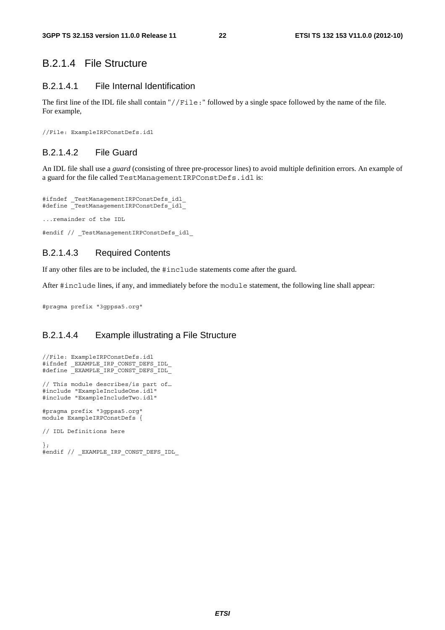### B.2.1.4 File Structure

#### B.2.1.4.1 File Internal Identification

The first line of the IDL file shall contain "//File:" followed by a single space followed by the name of the file. For example,

//File: ExampleIRPConstDefs.idl

#### B.2.1.4.2 File Guard

An IDL file shall use a *guard* (consisting of three pre-processor lines) to avoid multiple definition errors. An example of a guard for the file called TestManagementIRPConstDefs.idl is:

```
#ifndef _TestManagementIRPConstDefs_idl_ 
#define _TestManagementIRPConstDefs_idl_ 
...remainder of the IDL
```
#endif // TestManagementIRPConstDefs idl

#### B.2.1.4.3 Required Contents

If any other files are to be included, the #include statements come after the guard.

After #include lines, if any, and immediately before the module statement, the following line shall appear:

#pragma prefix "3gppsa5.org"

#### B.2.1.4.4 Example illustrating a File Structure

```
//File: ExampleIRPConstDefs.idl 
#ifndef _EXAMPLE_IRP_CONST_DEFS_IDL_ 
#define _EXAMPLE_IRP_CONST_DEFS_IDL_ 
// This module describes/is part of… 
#include "ExampleIncludeOne.idl" 
#include "ExampleIncludeTwo.idl" 
#pragma prefix "3gppsa5.org" 
module ExampleIRPConstDefs { 
// IDL Definitions here 
}; 
#endif // _EXAMPLE_IRP_CONST_DEFS_IDL_
```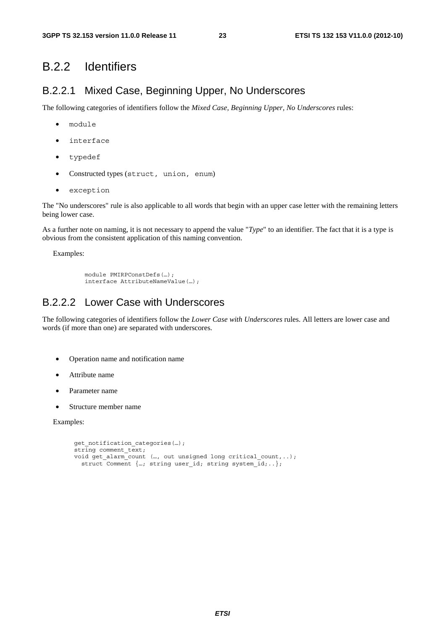### B.2.2 Identifiers

### B.2.2.1 Mixed Case, Beginning Upper, No Underscores

The following categories of identifiers follow the *Mixed Case, Beginning Upper, No Underscores* rules:

- module
- interface
- typedef
- Constructed types (struct, union, enum)
- exception

The "No underscores" rule is also applicable to all words that begin with an upper case letter with the remaining letters being lower case.

As a further note on naming, it is not necessary to append the value "*Type*" to an identifier. The fact that it is a type is obvious from the consistent application of this naming convention.

Examples:

```
module PMIRPConstDefs(…); 
interface AttributeNameValue(…);
```
### B.2.2.2 Lower Case with Underscores

The following categories of identifiers follow the *Lower Case with Underscores* rules. All letters are lower case and words (if more than one) are separated with underscores.

- Operation name and notification name
- Attribute name
- Parameter name
- Structure member name

Examples:

```
get notification categories(...);
string comment text;
void get alarm count (…, out unsigned long critical count,..);
 struct Comment \{...; string user id; string system id;..\};
```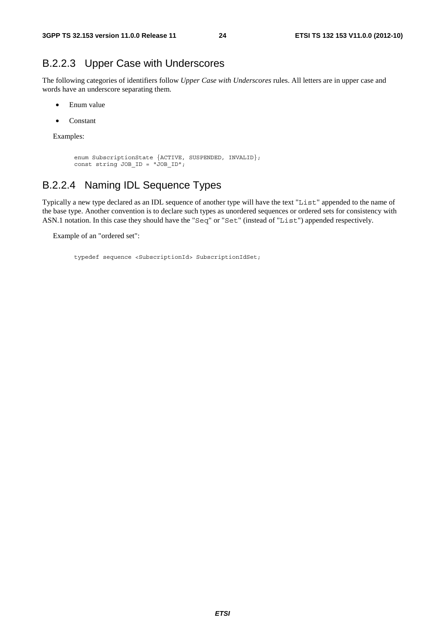### B.2.2.3 Upper Case with Underscores

The following categories of identifiers follow *Upper Case with Underscores* rules. All letters are in upper case and words have an underscore separating them.

- Enum value
- Constant

Examples:

```
enum SubscriptionState {ACTIVE, SUSPENDED, INVALID}; 
const string JOB_ID = "JOB_ID";
```
### B.2.2.4 Naming IDL Sequence Types

Typically a new type declared as an IDL sequence of another type will have the text "List" appended to the name of the base type. Another convention is to declare such types as unordered sequences or ordered sets for consistency with ASN.1 notation. In this case they should have the "Seq" or "Set" (instead of "List") appended respectively.

Example of an "ordered set":

typedef sequence <SubscriptionId> SubscriptionIdSet;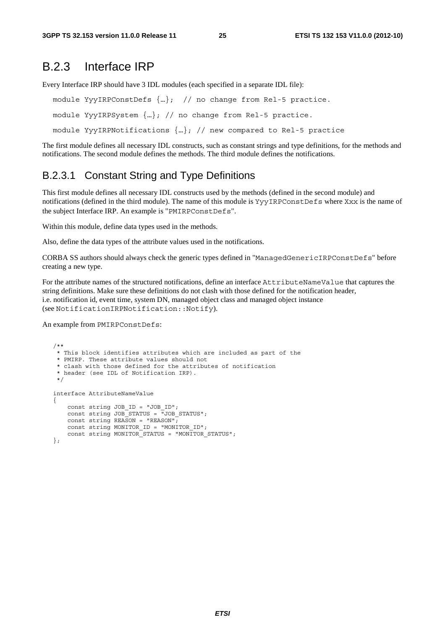### B.2.3 Interface IRP

Every Interface IRP should have 3 IDL modules (each specified in a separate IDL file):

```
module YyyIRPConstDefs {…}; // no change from Rel-5 practice.
```
module YyyIRPSystem {…}; // no change from Rel-5 practice.

module YyyIRPNotifications  $\{...\}$ ; // new compared to Rel-5 practice

The first module defines all necessary IDL constructs, such as constant strings and type definitions, for the methods and notifications. The second module defines the methods. The third module defines the notifications.

### B.2.3.1 Constant String and Type Definitions

This first module defines all necessary IDL constructs used by the methods (defined in the second module) and notifications (defined in the third module). The name of this module is YyyIRPConstDefs where Xxx is the name of the subject Interface IRP. An example is "PMIRPConstDefs".

Within this module, define data types used in the methods.

Also, define the data types of the attribute values used in the notifications.

CORBA SS authors should always check the generic types defined in "ManagedGenericIRPConstDefs" before creating a new type.

For the attribute names of the structured notifications, define an interface AttributeNameValue that captures the string definitions. Make sure these definitions do not clash with those defined for the notification header, i.e. notification id, event time, system DN, managed object class and managed object instance (see NotificationIRPNotification::Notify).

An example from PMIRPConstDefs:

```
 /** 
    * This block identifies attributes which are included as part of the 
    * PMIRP. These attribute values should not 
    * clash with those defined for the attributes of notification 
    * header (see IDL of Notification IRP). 
    */ 
   interface AttributeNameValue 
\{const string JOB ID = "JOB ID";
      const string JOB STATUS = "JOB STATUS";
      const string REASON = "REASON";const string MONITOR ID = "MONITOR ID";
       const string MONITOR_STATUS = "MONITOR_STATUS"; 
    };
```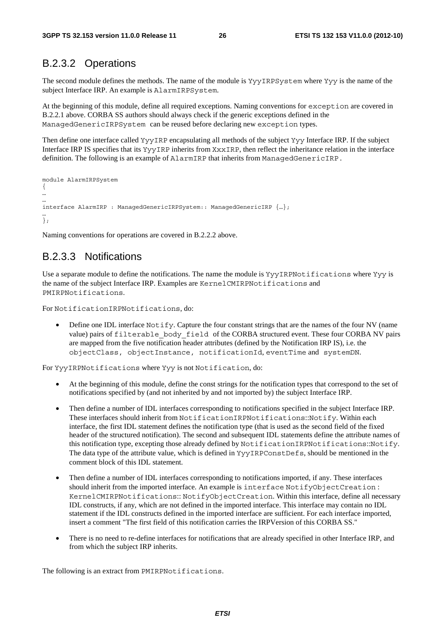### B.2.3.2 Operations

The second module defines the methods. The name of the module is YyyIRPSystem where Yyy is the name of the subject Interface IRP. An example is AlarmIRPSystem.

At the beginning of this module, define all required exceptions. Naming conventions for exception are covered in B.2.2.1 above. CORBA SS authors should always check if the generic exceptions defined in the ManagedGenericIRPSystem can be reused before declaring new exception types.

Then define one interface called YyyIRP encapsulating all methods of the subject Yyy Interface IRP. If the subject Interface IRP IS specifies that its YyyIRP inherits from XxxIRP, then reflect the inheritance relation in the interface definition. The following is an example of AlarmIRP that inherits from ManagedGenericIRP.

```
module AlarmIRPSystem 
{ 
… 
… 
interface AlarmIRP : ManagedGenericIRPSystem:: ManagedGenericIRP {…}; 
… 
};
```
Naming conventions for operations are covered in B.2.2.2 above.

### B.2.3.3 Notifications

Use a separate module to define the notifications. The name the module is YyyIRPNotifications where Yyy is the name of the subject Interface IRP. Examples are KernelCMIRPNotifications and PMIRPNotifications.

For NotificationIRPNotifications, do:

• Define one IDL interface Notify. Capture the four constant strings that are the names of the four NV (name value) pairs of filterable\_body\_field of the CORBA structured event. These four CORBA NV pairs are mapped from the five notification header attributes (defined by the Notification IRP IS), i.e. the objectClass, objectInstance, notificationId, eventTime and systemDN.

For YyyIRPNotifications where Yyy is not Notification, do:

- At the beginning of this module, define the const strings for the notification types that correspond to the set of notifications specified by (and not inherited by and not imported by) the subject Interface IRP.
- Then define a number of IDL interfaces corresponding to notifications specified in the subject Interface IRP. These interfaces should inherit from NotificationIRPNotifications::Notify. Within each interface, the first IDL statement defines the notification type (that is used as the second field of the fixed header of the structured notification). The second and subsequent IDL statements define the attribute names of this notification type, excepting those already defined by NotificationIRPNotifications::Notify. The data type of the attribute value, which is defined in YyyIRPConstDefs, should be mentioned in the comment block of this IDL statement.
- Then define a number of IDL interfaces corresponding to notifications imported, if any. These interfaces should inherit from the imported interface. An example is interface NotifyObjectCreation : KernelCMIRPNotifications:: NotifyObjectCreation. Within this interface, define all necessary IDL constructs, if any, which are not defined in the imported interface. This interface may contain no IDL statement if the IDL constructs defined in the imported interface are sufficient. For each interface imported, insert a comment "The first field of this notification carries the IRPVersion of this CORBA SS."
- There is no need to re-define interfaces for notifications that are already specified in other Interface IRP, and from which the subject IRP inherits.

The following is an extract from PMIRPNotifications.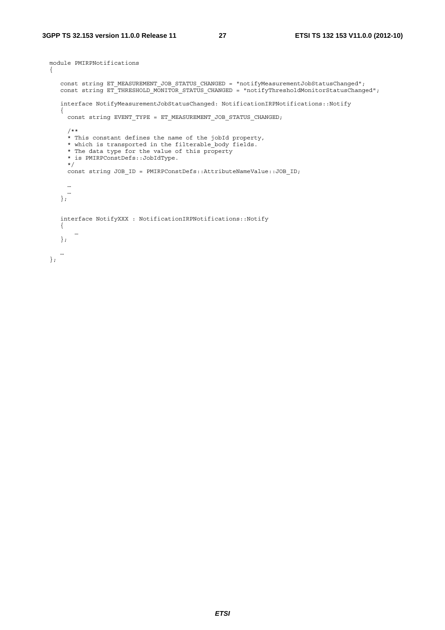```
 module PMIRPNotifications 
  { 
     const string ET_MEASUREMENT_JOB_STATUS_CHANGED = "notifyMeasurementJobStatusChanged"; 
     const string ET_THRESHOLD_MONITOR_STATUS_CHANGED = "notifyThresholdMonitorStatusChanged"; 
     interface NotifyMeasurementJobStatusChanged: NotificationIRPNotifications::Notify 
     { 
      const string EVENT TYPE = ET MEASUREMENT JOB STATUS CHANGED;
       /** 
       * This constant defines the name of the jobId property, 
       * which is transported in the filterable_body fields. 
       * The data type for the value of this property 
       * is PMIRPConstDefs::JobIdType. 
       */ 
       const string JOB_ID = PMIRPConstDefs::AttributeNameValue::JOB_ID; 
       … 
 … 
 }; 
     interface NotifyXXX : NotificationIRPNotifications::Notify 
     { 
 … 
     }; 
 … 
 };
```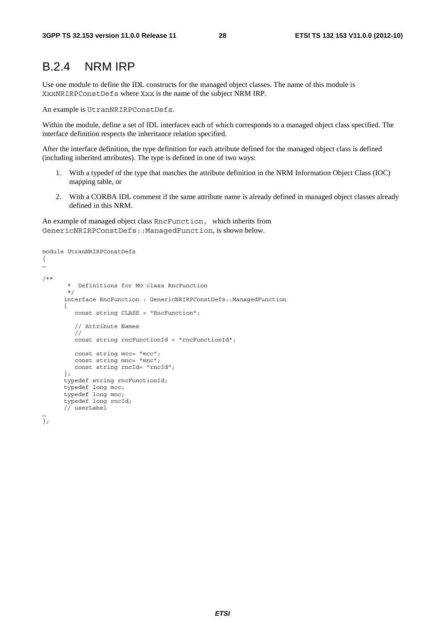### B.2.4 NRM IRP

Use one module to define the IDL constructs for the managed object classes. The name of this module is XxxNRIRPConstDefs where Xxx is the name of the subject NRM IRP.

An example is UtranNRIRPConstDefs.

Within the module, define a set of IDL interfaces each of which corresponds to a managed object class specified. The interface definition respects the inheritance relation specified.

After the interface definition, the type definition for each attribute defined for the managed object class is defined (including inherited attributes). The type is defined in one of two ways:

- 1. With a typedef of the type that matches the attribute definition in the NRM Information Object Class (IOC) mapping table, or
- 2. With a CORBA IDL comment if the same attribute name is already defined in managed object classes already defined in this NRM.

An example of managed object class RncFunction, which inherits from GenericNRIRPConstDefs::ManagedFunction, is shown below.

```
module UtranNRIRPConstDefs 
{ 
… 
/** 
         * Definitions for MO class RncFunction 
         */ 
      interface RncFunction : GenericNRIRPConstDefs: : ManagedFunction
        { 
           const string CLASS = "RncFunction"; 
           // Attribute Names 
           // 
           const string rncFunctionId = "rncFunctionId"; 
           const string mcc= "mcc"; 
           const string mnc= "mnc"; 
          const string rncId= "rncId";
        }; 
       typedef string rncFunctionId; 
       typedef long mcc; 
       typedef long mnc; 
       typedef long rncId; 
       // userLabel 
…
```
};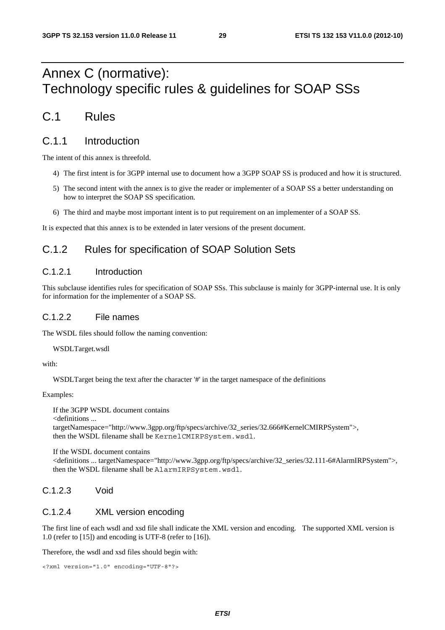# Annex C (normative): Technology specific rules & guidelines for SOAP SSs

### C.1 Rules

### C.1.1 Introduction

The intent of this annex is threefold.

- 4) The first intent is for 3GPP internal use to document how a 3GPP SOAP SS is produced and how it is structured.
- 5) The second intent with the annex is to give the reader or implementer of a SOAP SS a better understanding on how to interpret the SOAP SS specification.
- 6) The third and maybe most important intent is to put requirement on an implementer of a SOAP SS.

It is expected that this annex is to be extended in later versions of the present document.

### C.1.2 Rules for specification of SOAP Solution Sets

#### C.1.2.1 Introduction

This subclause identifies rules for specification of SOAP SSs. This subclause is mainly for 3GPP-internal use. It is only for information for the implementer of a SOAP SS.

#### C.1.2.2 File names

The WSDL files should follow the naming convention:

WSDLTarget.wsdl

with:

WSDLTarget being the text after the character '#' in the target namespace of the definitions

Examples:

If the 3GPP WSDL document contains <definitions ... targetNamespace="http://www.3gpp.org/ftp/specs/archive/32\_series/32.666#KernelCMIRPSystem">, then the WSDL filename shall be KernelCMIRPSystem.wsdl.

If the WSDL document contains

<definitions ... targetNamespace="http://www.3gpp.org/ftp/specs/archive/32\_series/32.111-6#AlarmIRPSystem">, then the WSDL filename shall be AlarmIRPSystem.wsdl.

### C.1.2.3 Void

### C.1.2.4 XML version encoding

The first line of each wsdl and xsd file shall indicate the XML version and encoding. The supported XML version is 1.0 (refer to [15]) and encoding is UTF-8 (refer to [16]).

Therefore, the wsdl and xsd files should begin with:

```
<?xml version="1.0" encoding="UTF-8"?>
```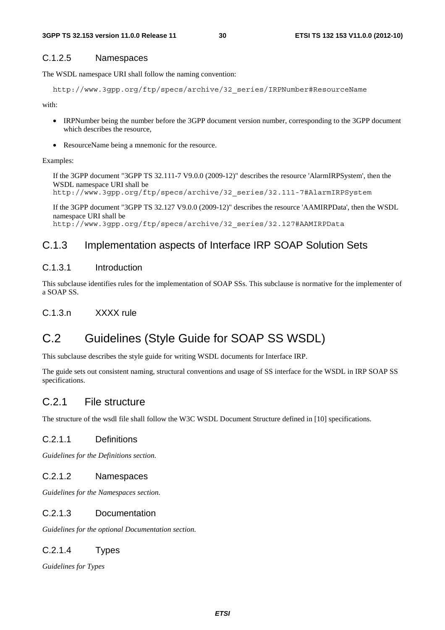#### C.1.2.5 Namespaces

The WSDL namespace URI shall follow the naming convention:

```
http://www.3gpp.org/ftp/specs/archive/32_series/IRPNumber#ResourceName
```
with:

- IRPNumber being the number before the 3GPP document version number, corresponding to the 3GPP document which describes the resource,
- ResourceName being a mnemonic for the resource.

#### Examples:

If the 3GPP document "3GPP TS 32.111-7 V9.0.0 (2009-12)" describes the resource 'AlarmIRPSystem', then the WSDL namespace URI shall be

http://www.3gpp.org/ftp/specs/archive/32\_series/32.111-7#AlarmIRPSystem

If the 3GPP document "3GPP TS 32.127 V9.0.0 (2009-12)" describes the resource 'AAMIRPData', then the WSDL namespace URI shall be http://www.3gpp.org/ftp/specs/archive/32\_series/32.127#AAMIRPData

### C.1.3 Implementation aspects of Interface IRP SOAP Solution Sets

#### C.1.3.1 Introduction

This subclause identifies rules for the implementation of SOAP SSs. This subclause is normative for the implementer of a SOAP SS.

#### C.1.3.n XXXX rule

### C.2 Guidelines (Style Guide for SOAP SS WSDL)

This subclause describes the style guide for writing WSDL documents for Interface IRP.

The guide sets out consistent naming, structural conventions and usage of SS interface for the WSDL in IRP SOAP SS specifications.

#### C.2.1 File structure

The structure of the wsdl file shall follow the W3C WSDL Document Structure defined in [10] specifications.

#### C.2.1.1 Definitions

*Guidelines for the Definitions section.* 

#### C.2.1.2 Namespaces

*Guidelines for the Namespaces section.* 

#### C.2.1.3 Documentation

*Guidelines for the optional Documentation section.* 

#### C.2.1.4 Types

*Guidelines for Types*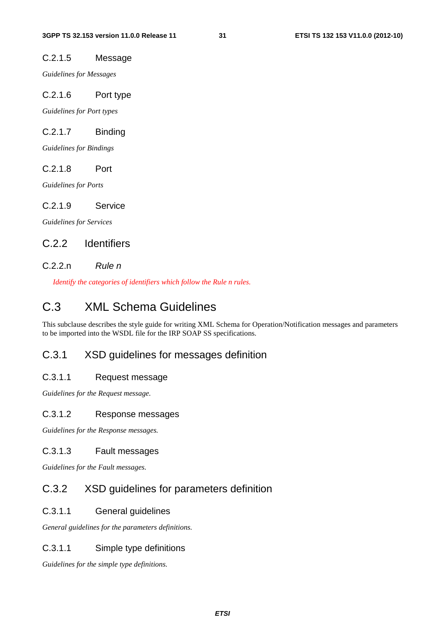#### C.2.1.5 Message

*Guidelines for Messages* 

#### C.2.1.6 Port type

*Guidelines for Port types* 

#### C.2.1.7 Binding

*Guidelines for Bindings* 

#### C.2.1.8 Port

*Guidelines for Ports* 

#### C.2.1.9 Service

*Guidelines for Services* 

### C.2.2 Identifiers

#### C.2.2.n *Rule n*

*Identify the categories of identifiers which follow the Rule n rules.*

### C.3 XML Schema Guidelines

This subclause describes the style guide for writing XML Schema for Operation/Notification messages and parameters to be imported into the WSDL file for the IRP SOAP SS specifications.

#### C.3.1 XSD guidelines for messages definition

#### C.3.1.1 Request message

*Guidelines for the Request message.* 

#### C.3.1.2 Response messages

*Guidelines for the Response messages.* 

#### C.3.1.3 Fault messages

*Guidelines for the Fault messages.* 

### C.3.2 XSD guidelines for parameters definition

#### C.3.1.1 General guidelines

*General guidelines for the parameters definitions.* 

#### C.3.1.1 Simple type definitions

*Guidelines for the simple type definitions.*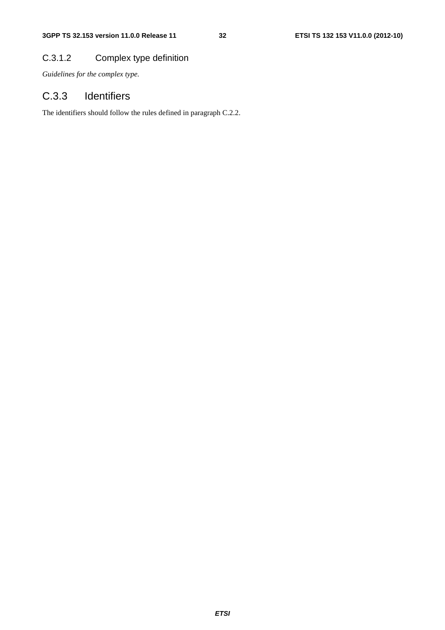### C.3.1.2 Complex type definition

*Guidelines for the complex type.* 

### C.3.3 Identifiers

The identifiers should follow the rules defined in paragraph C.2.2.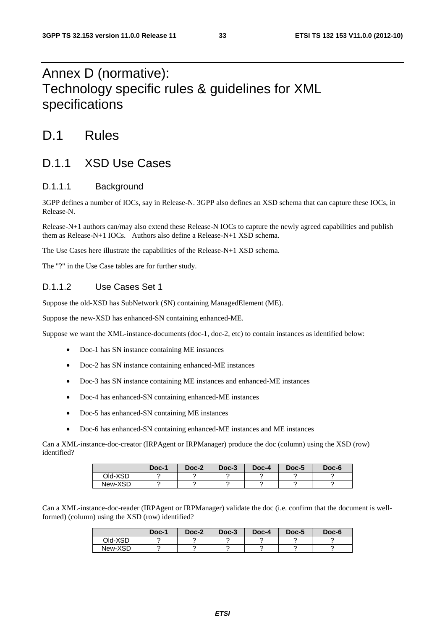# Annex D (normative): Technology specific rules & guidelines for XML specifications

# D.1 Rules

### D.1.1 XSD Use Cases

#### D.1.1.1 Background

3GPP defines a number of IOCs, say in Release-N. 3GPP also defines an XSD schema that can capture these IOCs, in Release-N.

Release-N+1 authors can/may also extend these Release-N IOCs to capture the newly agreed capabilities and publish them as Release-N+1 IOCs. Authors also define a Release-N+1 XSD schema.

The Use Cases here illustrate the capabilities of the Release-N+1 XSD schema.

The "?" in the Use Case tables are for further study.

#### D.1.1.2 Use Cases Set 1

Suppose the old-XSD has SubNetwork (SN) containing ManagedElement (ME).

Suppose the new-XSD has enhanced-SN containing enhanced-ME.

Suppose we want the XML-instance-documents (doc-1, doc-2, etc) to contain instances as identified below:

- Doc-1 has SN instance containing ME instances
- Doc-2 has SN instance containing enhanced-ME instances
- Doc-3 has SN instance containing ME instances and enhanced-ME instances
- Doc-4 has enhanced-SN containing enhanced-ME instances
- Doc-5 has enhanced-SN containing ME instances
- Doc-6 has enhanced-SN containing enhanced-ME instances and ME instances

Can a XML-instance-doc-creator (IRPAgent or IRPManager) produce the doc (column) using the XSD (row) identified?

|         | Doc-1 | Doc-2 | Doc-3 | Doc-4 | Doc-5 | Doc-6 |
|---------|-------|-------|-------|-------|-------|-------|
| Old-XSD |       |       |       |       |       |       |
| New-XSD |       |       |       |       |       |       |

Can a XML-instance-doc-reader (IRPAgent or IRPManager) validate the doc (i.e. confirm that the document is wellformed) (column) using the XSD (row) identified?

|         | Doc-1 | Doc-2 | Doc-3 | Doc-4 | Doc-5 | Doc-6 |
|---------|-------|-------|-------|-------|-------|-------|
| Old-XSD |       |       |       |       |       |       |
| New-XSD |       |       |       |       |       |       |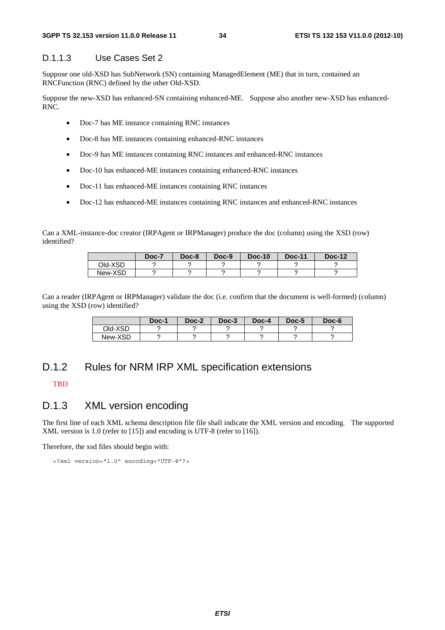#### D.1.1.3 Use Cases Set 2

Suppose one old-XSD has SubNetwork (SN) containing ManagedElement (ME) that in turn, contained an RNCFunction (RNC) defined by the other Old-XSD.

Suppose the new-XSD has enhanced-SN containing enhanced-ME. Suppose also another new-XSD has enhanced-RNC.

- Doc-7 has ME instance containing RNC instances
- Doc-8 has ME instances containing enhanced-RNC instances
- Doc-9 has ME instances containing RNC instances and enhanced-RNC instances
- Doc-10 has enhanced-ME instances containing enhanced-RNC instances
- Doc-11 has enhanced-ME instances containing RNC instances
- Doc-12 has enhanced-ME instances containing RNC instances and enhanced-RNC instances

Can a XML-instance-doc creator (IRPAgent or IRPManager) produce the doc (column) using the XSD (row) identified?

|         | Doc-7 | Doc-8 | Doc-9 | $Doc-10$ | <b>Doc-11</b> | <b>Doc-12</b> |
|---------|-------|-------|-------|----------|---------------|---------------|
| Old-XSD |       |       |       |          |               |               |
| New-XSD |       |       |       |          |               |               |

Can a reader (IRPAgent or IRPManager) validate the doc (i.e. confirm that the document is well-formed) (column) using the XSD (row) identified?

|         | Doc-1 | Doc-2 | Doc-3 | Doc-4 | Doc-5 | Doc-6 |
|---------|-------|-------|-------|-------|-------|-------|
| Old-XSD |       |       |       |       |       |       |
| New-XSD |       |       |       |       |       |       |

### D.1.2 Rules for NRM IRP XML specification extensions

#### **TBD**

#### D.1.3 XML version encoding

The first line of each XML schema description file file shall indicate the XML version and encoding. The supported XML version is 1.0 (refer to [15]) and encoding is UTF-8 (refer to [16]).

Therefore, the xsd files should begin with:

<?xml version="1.0" encoding="UTF-8"?>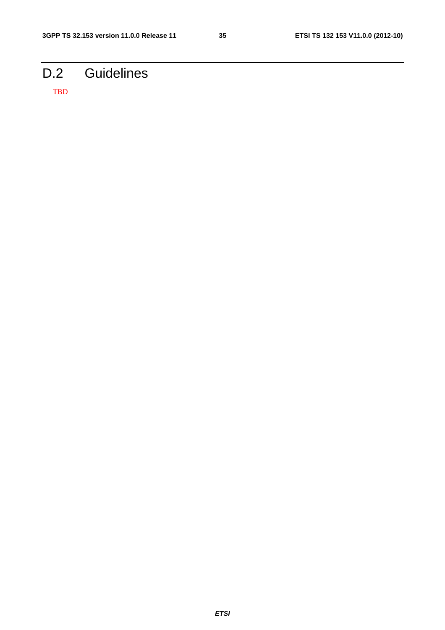# D.2 Guidelines

TBD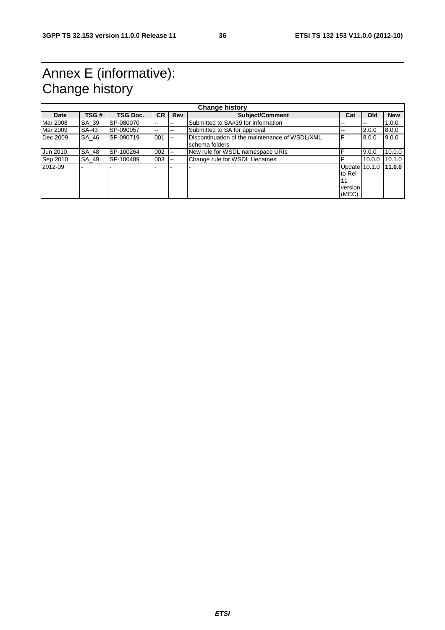# Annex E (informative): Change history

|             |       |           |           |                | <b>Change history</b>                                            |                                                    |        |            |
|-------------|-------|-----------|-----------|----------------|------------------------------------------------------------------|----------------------------------------------------|--------|------------|
| <b>Date</b> | TSG # | TSG Doc.  | <b>CR</b> | <b>Rev</b>     | Subject/Comment                                                  | Cat                                                | Old    | <b>New</b> |
| Mar 2008    | SA 39 | SP-080070 | $-1$      | --             | Submitted to SA#39 for Information                               | --                                                 | $-$    | 1.0.0      |
| Mar 2009    | SA-43 | SP-090057 | $- -$     | --             | Submitted to SA for approval                                     | --                                                 | 2.0.0  | 8.0.0      |
| Dec 2009    | SA 46 | SP-090719 | 001       | $\overline{a}$ | Discontinuation of the maintenance of WSDL/XML<br>schema folders | F                                                  | 8.0.0  | 9.0.0      |
| Jun 2010    | SA 48 | SP-100264 | 002       | --             | New rule for WSDL namespace URIs                                 |                                                    | 9.0.0  | 10.0.0     |
| Sep 2010    | SA 49 | SP-100489 | 003       | --             | Change rule for WSDL filenames                                   |                                                    | 10.0.0 | 10.1.0     |
| 2012-09     |       |           |           |                |                                                                  | Update 10.1.0<br>to Rel-<br>11<br>version<br>(MCC) |        | 11.00      |